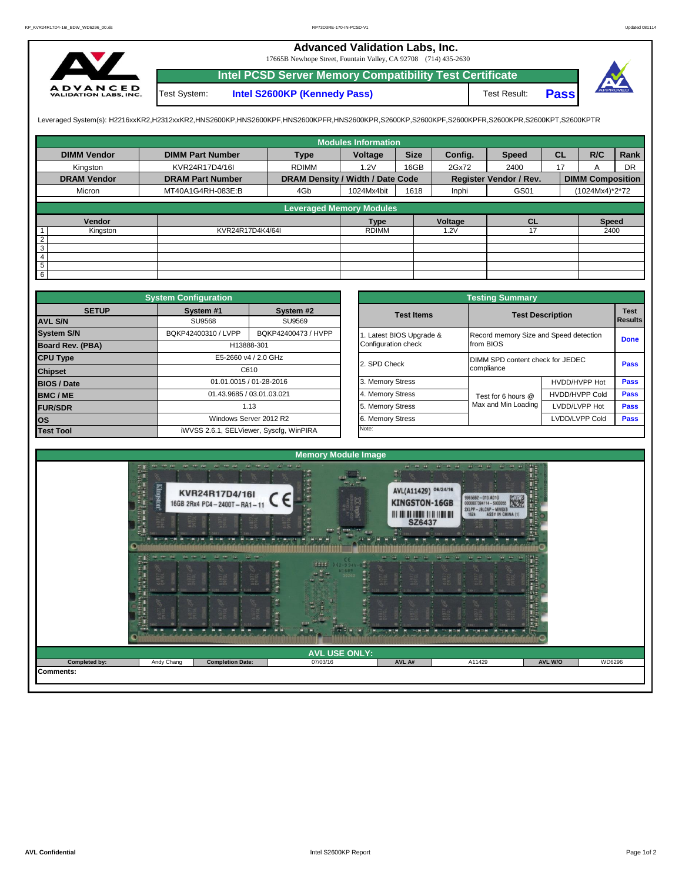## **Advanced Validation Labs, Inc.**

17665B Newhope Street, Fountain Valley, CA 92708 (714) 435-2630



Test System: **Intel S2600KP (Kennedy Pass)** Test Result: **Intel PCSD Server Memory Compatibility Test Certificate Pass**



Leveraged System(s): H2216xxKR2,H2312xxKR2,HNS2600KP,HNS2600KPF,HNS2600KPFR,HNS2600KPR,S2600KP,S2600KPF,S2600KPFR,S2600KPR,S2600KPT,S2600KPTR

|                    |                         |                                  | <b>Modules Information</b> |             |         |                        |           |                         |           |
|--------------------|-------------------------|----------------------------------|----------------------------|-------------|---------|------------------------|-----------|-------------------------|-----------|
| <b>DIMM Vendor</b> | <b>DIMM Part Number</b> | <b>Type</b>                      | Voltage                    | <b>Size</b> | Config. | <b>Speed</b>           | <b>CL</b> | R/C                     | Rank      |
| Kingston           | KVR24R17D4/16I          | <b>RDIMM</b>                     | 1.2V                       | 16GB        | 2Gx72   | 2400                   | 17        | A                       | <b>DR</b> |
| <b>DRAM Vendor</b> | <b>DRAM Part Number</b> | DRAM Density / Width / Date Code |                            |             |         | Register Vendor / Rev. |           | <b>DIMM Composition</b> |           |
| Micron             | MT40A1G4RH-083E:B       | 4Gb                              | 1024Mx4bit                 | 1618        | Inphi   | GS01                   |           | (1024Mx4)*2*72          |           |
|                    |                         | <b>Leveraged Memory Modules</b>  |                            |             |         |                        |           |                         |           |
|                    |                         |                                  |                            |             |         |                        |           |                         |           |
| Vendor             |                         |                                  | <b>Type</b>                |             | Voltage | <b>CL</b>              |           | <b>Speed</b>            |           |
| Kingston           | KVR24R17D4K4/64I        |                                  | <b>RDIMM</b>               |             | 1.2V    | 17                     |           | 2400                    |           |
| $\overline{2}$     |                         |                                  |                            |             |         |                        |           |                         |           |
| 3                  |                         |                                  |                            |             |         |                        |           |                         |           |
| $\overline{4}$     |                         |                                  |                            |             |         |                        |           |                         |           |
| 5                  |                         |                                  |                            |             |         |                        |           |                         |           |
| $6\overline{6}$    |                         |                                  |                            |             |         |                        |           |                         |           |

|                    | <b>System Configuration</b> |                                         |                       | <b>Testing Summary</b>                 |                         |             |  |  |
|--------------------|-----------------------------|-----------------------------------------|-----------------------|----------------------------------------|-------------------------|-------------|--|--|
| <b>SETUP</b>       | System #1                   | System #2                               | <b>Test Items</b>     |                                        | <b>Test Description</b> | <b>Test</b> |  |  |
| <b>AVL S/N</b>     | <b>SU9568</b>               | SU9569                                  |                       |                                        |                         | Results     |  |  |
| <b>System S/N</b>  | BQKP42400310 / LVPP         | BQKP42400473 / HVPP                     | Latest BIOS Upgrade & | Record memory Size and Speed detection |                         | <b>Done</b> |  |  |
| Board Rev. (PBA)   | H13888-301                  |                                         | Configuration check   | from BIOS                              |                         |             |  |  |
| <b>CPU Type</b>    |                             | E5-2660 v4 / 2.0 GHz                    | 2. SPD Check          | DIMM SPD content check for JEDEC       |                         | <b>Pass</b> |  |  |
| <b>Chipset</b>     |                             | C610                                    |                       | compliance                             |                         |             |  |  |
| <b>BIOS / Date</b> |                             | 01.01.0015 / 01-28-2016                 | 3. Memory Stress      |                                        | HVDD/HVPP Hot           | <b>Pass</b> |  |  |
| BMC/ME             | 01.43.9685 / 03.01.03.021   |                                         | 4. Memory Stress      | Test for 6 hours @                     | <b>HVDD/HVPP Cold</b>   | <b>Pass</b> |  |  |
| <b>FUR/SDR</b>     |                             | 1.13                                    | 5. Memory Stress      | Max and Min Loading                    | LVDD/LVPP Hot           | <b>Pass</b> |  |  |
| <b>los</b>         |                             | Windows Server 2012 R2                  | 6. Memory Stress      |                                        | LVDD/LVPP Cold          | Pass        |  |  |
| <b>Test Tool</b>   |                             | iWVSS 2.6.1, SELViewer, Syscfq, WinPIRA | Note:                 |                                        |                         |             |  |  |

|              | <b>System Configuration</b> |                                                                                                                                                                   | <b>Testing Summary</b> |                                        |                       |                |  |  |  |
|--------------|-----------------------------|-------------------------------------------------------------------------------------------------------------------------------------------------------------------|------------------------|----------------------------------------|-----------------------|----------------|--|--|--|
| <b>SETUP</b> | System #1                   | System #2                                                                                                                                                         | <b>Test Items</b>      | <b>Test Description</b>                |                       | <b>Test</b>    |  |  |  |
|              | <b>SU9568</b>               | SU9569                                                                                                                                                            |                        |                                        |                       | <b>Results</b> |  |  |  |
|              | BQKP42400310 / LVPP         | BQKP42400473 / HVPP                                                                                                                                               | Latest BIOS Upgrade &  | Record memory Size and Speed detection |                       |                |  |  |  |
| PBA)         |                             | H13888-301                                                                                                                                                        |                        | from BIOS                              | <b>Done</b>           |                |  |  |  |
|              |                             | E5-2660 v4 / 2.0 GHz<br>C610<br>01.01.0015 / 01-28-2016<br>01.43.9685 / 03.01.03.021<br>1.13<br>Windows Server 2012 R2<br>iWVSS 2.6.1, SELViewer, Syscfq, WinPIRA | 2. SPD Check           | DIMM SPD content check for JEDEC       |                       |                |  |  |  |
|              |                             |                                                                                                                                                                   |                        | compliance                             |                       | Pass           |  |  |  |
|              |                             |                                                                                                                                                                   | 3. Memory Stress       |                                        | HVDD/HVPP Hot         | Pass           |  |  |  |
|              |                             |                                                                                                                                                                   | 4. Memory Stress       | Test for 6 hours @                     | <b>HVDD/HVPP Cold</b> | Pass           |  |  |  |
|              |                             |                                                                                                                                                                   | 5. Memory Stress       | Max and Min Loading                    | LVDD/LVPP Hot         | Pass           |  |  |  |
|              |                             |                                                                                                                                                                   | 6. Memory Stress       |                                        | LVDD/LVPP Cold        | <b>Pass</b>    |  |  |  |
|              |                             |                                                                                                                                                                   | Note:                  |                                        |                       |                |  |  |  |

|  |  | cent and<br>TED STATES (第1988年) 第1988年)<br>King<br>Ë<br>www.craw<br><b>CONTRACTOR</b> | and the and and and and an and an and an and<br>KVR24R17D4/16I<br>16GB 2Rx4 PC4-2400T-RA1-11<br>was more way.<br>Sec. PR<br>1990<br>51.6B | <b>STATISTICS</b><br>$242 - 994V - 8$<br>$+ +$ | $14 - 13 - 14$<br>$\frac{1}{2}$<br>AVL(A11429) 06/24/16<br><b>KINGSTON-16GB</b><br><b>SZ6437</b><br>$0 + 50$<br><b>ANTI ROLL</b><br>$\mathbf{r}$<br>$0 + 1172$ | $+1 = 11 + 11$<br>$-160$ and $-14$<br>$11 - 11 - 11$<br>$\frac{9965662 - 013.4016}{0000007394114 - $000055}$<br>2XLPP-J9LCNP-MW6XB<br>the man be<br>$\lambda$ and $\lambda$<br>that them be<br>$0.1 - 5001$<br><b>O + 5181</b><br><b>B-110</b> | $\begin{array}{c} \mathbf{1} \ \mathbf{1} \ \mathbf{1} \ \mathbf{1} \ \mathbf{1} \ \mathbf{1} \ \mathbf{1} \ \mathbf{1} \ \mathbf{1} \ \mathbf{1} \ \mathbf{1} \ \mathbf{1} \ \mathbf{1} \ \mathbf{1} \ \mathbf{1} \ \mathbf{1} \ \mathbf{1} \ \mathbf{1} \ \mathbf{1} \ \mathbf{1} \ \mathbf{1} \ \mathbf{1} \ \mathbf{1} \ \mathbf{1} \ \mathbf{1} \ \mathbf{1} \ \mathbf{1} \ \mathbf{1} \ \mathbf{1} \ \mathbf{1} \ \mathbf$<br>ш<br>医线<br>œ<br>Ŧ,<br>Attor<br><b>MANUFACTION</b> |  |
|--|--|---------------------------------------------------------------------------------------|-------------------------------------------------------------------------------------------------------------------------------------------|------------------------------------------------|----------------------------------------------------------------------------------------------------------------------------------------------------------------|------------------------------------------------------------------------------------------------------------------------------------------------------------------------------------------------------------------------------------------------|---------------------------------------------------------------------------------------------------------------------------------------------------------------------------------------------------------------------------------------------------------------------------------------------------------------------------------------------------------------------------------------------------------------------------------------------------------------------------------------|--|
|--|--|---------------------------------------------------------------------------------------|-------------------------------------------------------------------------------------------------------------------------------------------|------------------------------------------------|----------------------------------------------------------------------------------------------------------------------------------------------------------------|------------------------------------------------------------------------------------------------------------------------------------------------------------------------------------------------------------------------------------------------|---------------------------------------------------------------------------------------------------------------------------------------------------------------------------------------------------------------------------------------------------------------------------------------------------------------------------------------------------------------------------------------------------------------------------------------------------------------------------------------|--|